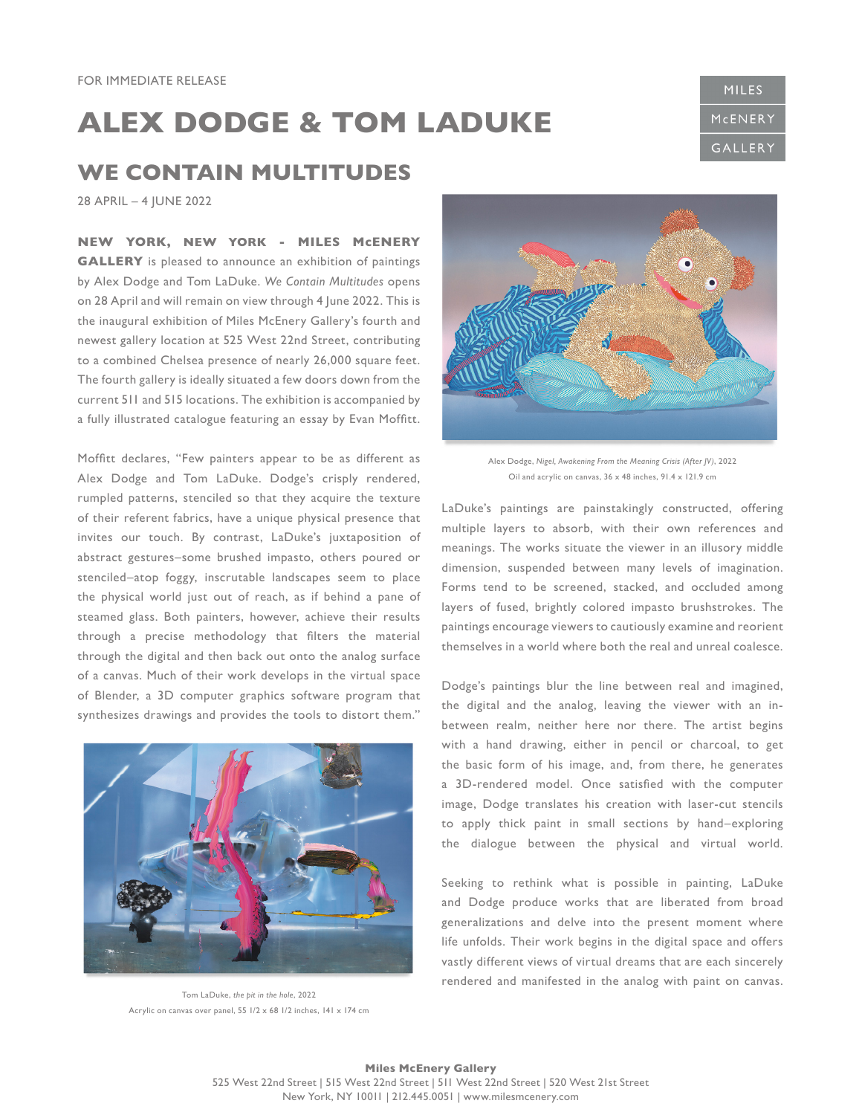## **ALEX DODGE & TOM LADUKE**

## **WE CONTAIN MULTITUDES**

28 APRIL – 4 JUNE 2022

**NEW YORK, NEW YORK - MILES McENERY GALLERY** is pleased to announce an exhibition of paintings by Alex Dodge and Tom LaDuke. *We Contain Multitudes* opens on 28 April and will remain on view through 4 June 2022. This is the inaugural exhibition of Miles McEnery Gallery's fourth and newest gallery location at 525 West 22nd Street, contributing to a combined Chelsea presence of nearly 26,000 square feet. The fourth gallery is ideally situated a few doors down from the current 511 and 515 locations. The exhibition is accompanied by a fully illustrated catalogue featuring an essay by Evan Moffitt.

Moffitt declares, "Few painters appear to be as different as Alex Dodge and Tom LaDuke. Dodge's crisply rendered, rumpled patterns, stenciled so that they acquire the texture of their referent fabrics, have a unique physical presence that invites our touch. By contrast, LaDuke's juxtaposition of abstract gestures–some brushed impasto, others poured or stenciled–atop foggy, inscrutable landscapes seem to place the physical world just out of reach, as if behind a pane of steamed glass. Both painters, however, achieve their results through a precise methodology that filters the material through the digital and then back out onto the analog surface of a canvas. Much of their work develops in the virtual space of Blender, a 3D computer graphics software program that synthesizes drawings and provides the tools to distort them."



Tom LaDuke, *the pit in the hole*, 2022 Acrylic on canvas over panel,  $55$   $1/2 \times 68$   $1/2$  inches,  $141 \times 174$  cm



Alex Dodge, *Nigel, Awakening From the Meaning Crisis (After JV)*, 2022 Oil and acrylic on canvas, 36 x 48 inches, 91.4 x 121.9 cm

LaDuke's paintings are painstakingly constructed, offering multiple layers to absorb, with their own references and meanings. The works situate the viewer in an illusory middle dimension, suspended between many levels of imagination. Forms tend to be screened, stacked, and occluded among layers of fused, brightly colored impasto brushstrokes. The paintings encourage viewers to cautiously examine and reorient themselves in a world where both the real and unreal coalesce.

Dodge's paintings blur the line between real and imagined, the digital and the analog, leaving the viewer with an inbetween realm, neither here nor there. The artist begins with a hand drawing, either in pencil or charcoal, to get the basic form of his image, and, from there, he generates a 3D-rendered model. Once satisfied with the computer image, Dodge translates his creation with laser-cut stencils to apply thick paint in small sections by hand–exploring the dialogue between the physical and virtual world.

Seeking to rethink what is possible in painting, LaDuke and Dodge produce works that are liberated from broad generalizations and delve into the present moment where life unfolds. Their work begins in the digital space and offers vastly different views of virtual dreams that are each sincerely rendered and manifested in the analog with paint on canvas.